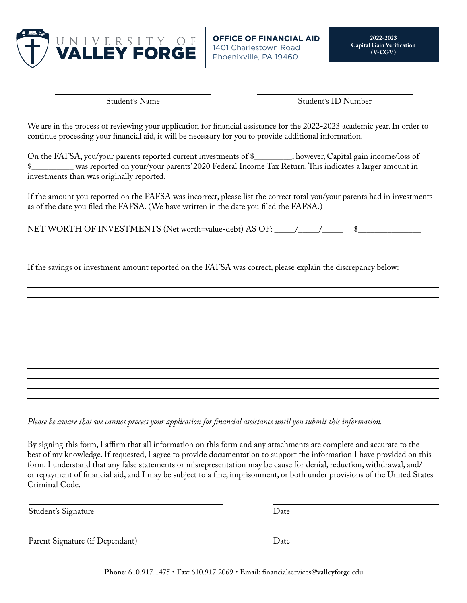

**OFFIC** 1401 Charlestown Road Phoenixville, PA 19460

Student's Name

Student's ID Number

We are in the process of reviewing your application for financial assistance for the 2022-2023 academic year. In order to continue processing your financial aid, it will be necessary for you to provide additional information.

On the FAFSA, you/your parents reported current investments of \$\_\_\_\_\_\_\_\_\_, however, Capital gain income/loss of \$\_\_\_\_\_\_\_\_\_\_ was reported on your/your parents' 2020 Federal Income Tax Return. This indicates a larger amount in investments than was originally reported.

If the amount you reported on the FAFSA was incorrect, please list the correct total you/your parents had in investments as of the date you filed the FAFSA. (We have written in the date you filed the FAFSA.)

NET WORTH OF INVESTMENTS (Net worth=value-debt) AS OF: \_\_\_\_\_/\_\_\_\_\_/\_\_\_\_\_\_\_\_\_\_\_\_\_\_

If the savings or investment amount reported on the FAFSA was correct, please explain the discrepancy below:

*Please be aware that we cannot process your application for financial assistance until you submit this information.*

By signing this form, I affirm that all information on this form and any attachments are complete and accurate to the best of my knowledge. If requested, I agree to provide documentation to support the information I have provided on this form. I understand that any false statements or misrepresentation may be cause for denial, reduction, withdrawal, and/ or repayment of financial aid, and I may be subject to a fine, imprisonment, or both under provisions of the United States Criminal Code.

Student's Signature Date

Parent Signature (if Dependant) Date